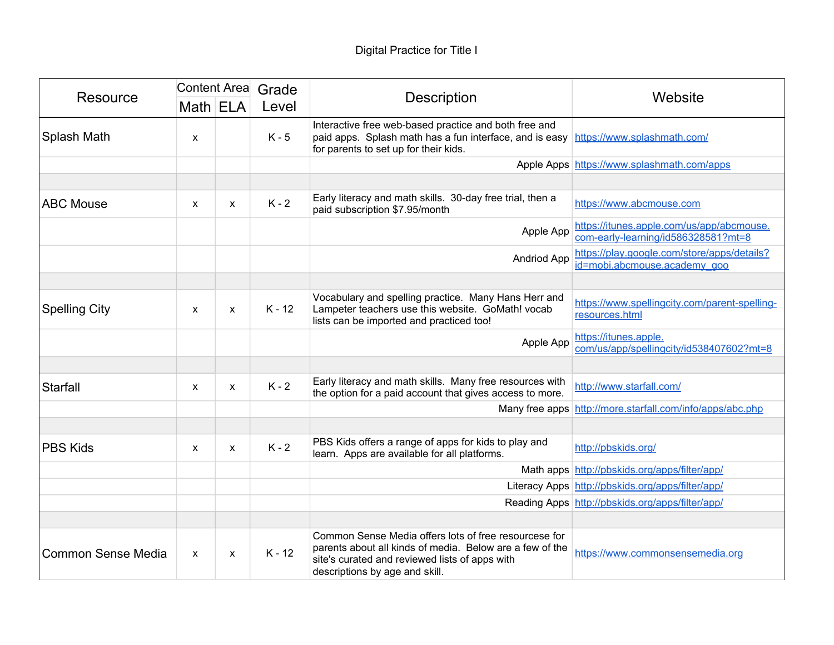| Resource             | Content Area Grade |              |          |                                                                                                                                                                                                       |                                                                                  |
|----------------------|--------------------|--------------|----------|-------------------------------------------------------------------------------------------------------------------------------------------------------------------------------------------------------|----------------------------------------------------------------------------------|
|                      | Math ELA           |              | Level    | <b>Description</b>                                                                                                                                                                                    | Website                                                                          |
| Splash Math          | X                  |              | $K - 5$  | Interactive free web-based practice and both free and<br>paid apps. Splash math has a fun interface, and is easy https://www.splashmath.com/<br>for parents to set up for their kids.                 |                                                                                  |
|                      |                    |              |          |                                                                                                                                                                                                       | Apple Apps https://www.splashmath.com/apps                                       |
|                      |                    |              |          |                                                                                                                                                                                                       |                                                                                  |
| <b>ABC Mouse</b>     | $\mathsf{x}$       | $\mathsf{x}$ | $K - 2$  | Early literacy and math skills. 30-day free trial, then a<br>paid subscription \$7.95/month                                                                                                           | https://www.abcmouse.com                                                         |
|                      |                    |              |          | Apple App                                                                                                                                                                                             | https://itunes.apple.com/us/app/abcmouse.<br>com-early-learning/id586328581?mt=8 |
|                      |                    |              |          | <b>Andriod App</b>                                                                                                                                                                                    | https://play.google.com/store/apps/details?<br>id=mobi.abcmouse.academy_goo      |
|                      |                    |              |          |                                                                                                                                                                                                       |                                                                                  |
| <b>Spelling City</b> | X                  | X            | $K - 12$ | Vocabulary and spelling practice. Many Hans Herr and<br>Lampeter teachers use this website. GoMath! vocab<br>lists can be imported and practiced too!                                                 | https://www.spellingcity.com/parent-spelling-<br>resources.html                  |
|                      |                    |              |          | Apple App                                                                                                                                                                                             | https://itunes.apple.<br>com/us/app/spellingcity/id538407602?mt=8                |
|                      |                    |              |          |                                                                                                                                                                                                       |                                                                                  |
| Starfall             | $\mathsf{x}$       | $\mathsf{x}$ | $K - 2$  | Early literacy and math skills. Many free resources with<br>the option for a paid account that gives access to more.                                                                                  | http://www.starfall.com/                                                         |
|                      |                    |              |          |                                                                                                                                                                                                       | Many free apps http://more.starfall.com/info/apps/abc.php                        |
|                      |                    |              |          |                                                                                                                                                                                                       |                                                                                  |
| <b>PBS Kids</b>      | $\mathsf{x}$       | X            | $K - 2$  | PBS Kids offers a range of apps for kids to play and<br>learn. Apps are available for all platforms.                                                                                                  | http://pbskids.org/                                                              |
|                      |                    |              |          | Math apps                                                                                                                                                                                             | http://pbskids.org/apps/filter/app/                                              |
|                      |                    |              |          |                                                                                                                                                                                                       | Literacy Apps http://pbskids.org/apps/filter/app/                                |
|                      |                    |              |          |                                                                                                                                                                                                       | Reading Apps http://pbskids.org/apps/filter/app/                                 |
|                      |                    |              |          |                                                                                                                                                                                                       |                                                                                  |
| Common Sense Media   | $\mathsf{x}$       | X            | $K - 12$ | Common Sense Media offers lots of free resourcese for<br>parents about all kinds of media. Below are a few of the<br>site's curated and reviewed lists of apps with<br>descriptions by age and skill. | https://www.commonsensemedia.org                                                 |